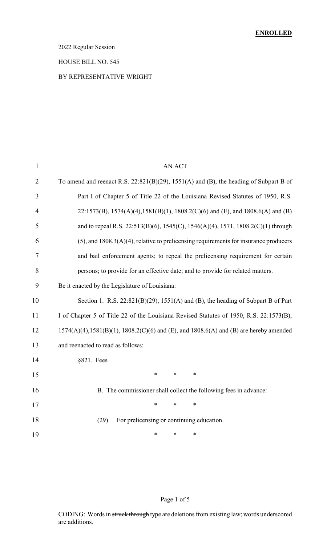### 2022 Regular Session

#### HOUSE BILL NO. 545

#### BY REPRESENTATIVE WRIGHT

| $\mathbf{1}$   | AN ACT                                                                                                |
|----------------|-------------------------------------------------------------------------------------------------------|
| $\overline{2}$ | To amend and reenact R.S. $22:821(B)(29)$ , $1551(A)$ and (B), the heading of Subpart B of            |
| 3              | Part I of Chapter 5 of Title 22 of the Louisiana Revised Statutes of 1950, R.S.                       |
| $\overline{4}$ | 22:1573(B), 1574(A)(4),1581(B)(1), 1808.2(C)(6) and (E), and 1808.6(A) and (B)                        |
| 5              | and to repeal R.S. 22:513(B)(6), 1545(C), 1546(A)(4), 1571, 1808.2(C)(1) through                      |
| 6              | $(5)$ , and 1808.3(A)(4), relative to prelicensing requirements for insurance producers               |
| 7              | and bail enforcement agents; to repeal the prelicensing requirement for certain                       |
| 8              | persons; to provide for an effective date; and to provide for related matters.                        |
| 9              | Be it enacted by the Legislature of Louisiana:                                                        |
| 10             | Section 1. R.S. $22:821(B)(29)$ , $1551(A)$ and (B), the heading of Subpart B of Part                 |
| 11             | I of Chapter 5 of Title 22 of the Louisiana Revised Statutes of 1950, R.S. 22:1573(B),                |
| 12             | $1574(A)(4)$ , $1581(B)(1)$ , $1808.2(C)(6)$ and $(E)$ , and $1808.6(A)$ and $(B)$ are hereby amended |
| 13             | and reenacted to read as follows:                                                                     |
| 14             | $§821.$ Fees                                                                                          |
| 15             | $\ast$<br>$\ast$<br>∗                                                                                 |
| 16             | B. The commissioner shall collect the following fees in advance:                                      |
| 17             | *<br>$\ast$<br>∗                                                                                      |
| 18             | For prelicensing or continuing education.<br>(29)                                                     |
| 19             | *<br>∗<br>*                                                                                           |

### Page 1 of 5

CODING: Words in struck through type are deletions from existing law; words underscored are additions.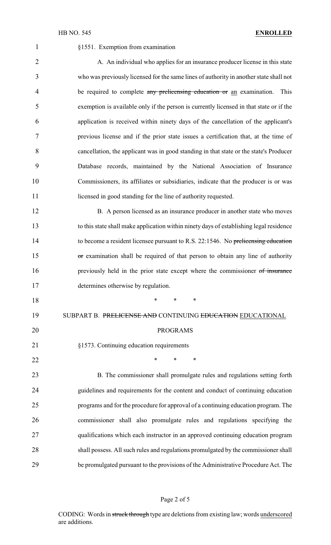| $\mathbf{1}$   | §1551. Exemption from examination                                                       |
|----------------|-----------------------------------------------------------------------------------------|
| $\overline{2}$ | A. An individual who applies for an insurance producer license in this state            |
| 3              | who was previously licensed for the same lines of authority in another state shall not  |
| $\overline{4}$ | be required to complete any prelicensing education or an examination.<br>This           |
| 5              | exemption is available only if the person is currently licensed in that state or if the |
| 6              | application is received within ninety days of the cancellation of the applicant's       |
| 7              | previous license and if the prior state issues a certification that, at the time of     |
| 8              | cancellation, the applicant was in good standing in that state or the state's Producer  |
| 9              | Database records, maintained by the National Association of Insurance                   |
| 10             | Commissioners, its affiliates or subsidiaries, indicate that the producer is or was     |
| 11             | licensed in good standing for the line of authority requested.                          |
| 12             | B. A person licensed as an insurance producer in another state who moves                |
| 13             | to this state shall make application within ninety days of establishing legal residence |
| 14             | to become a resident licensee pursuant to R.S. 22:1546. No prelicensing education       |
| 15             | or examination shall be required of that person to obtain any line of authority         |
| 16             | previously held in the prior state except where the commissioner of insurance           |
| 17             | determines otherwise by regulation.                                                     |
| 18             | *<br>∗<br>∗                                                                             |
| 19             | SUBPART B. PRELICENSE AND CONTINUING EDUCATION EDUCATIONAL                              |
| 20             | <b>PROGRAMS</b>                                                                         |
| 21             | §1573. Continuing education requirements                                                |
| 22             | $\ast$<br>*<br>∗                                                                        |
| 23             | B. The commissioner shall promulgate rules and regulations setting forth                |
| 24             | guidelines and requirements for the content and conduct of continuing education         |
| 25             | programs and for the procedure for approval of a continuing education program. The      |
| 26             | commissioner shall also promulgate rules and regulations specifying the                 |
| 27             | qualifications which each instructor in an approved continuing education program        |
| 28             | shall possess. All such rules and regulations promulgated by the commissioner shall     |
| 29             | be promulgated pursuant to the provisions of the Administrative Procedure Act. The      |

# Page 2 of 5

CODING: Words in struck through type are deletions from existing law; words underscored are additions.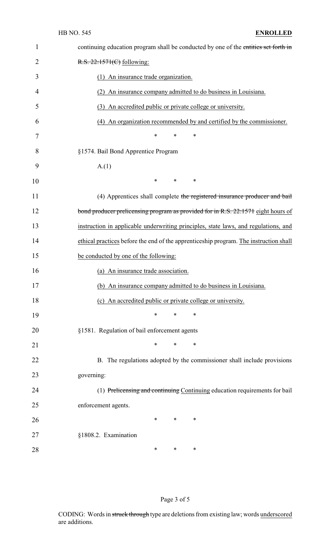| $\mathbf{1}$   | continuing education program shall be conducted by one of the entities set forth in   |
|----------------|---------------------------------------------------------------------------------------|
| $\overline{2}$ | R.S. 22:1571(C) following:                                                            |
| 3              | (1) An insurance trade organization.                                                  |
| 4              | (2) An insurance company admitted to do business in Louisiana.                        |
| 5              | (3) An accredited public or private college or university.                            |
| 6              | (4) An organization recommended by and certified by the commissioner.                 |
| 7              | $\ast$<br>∗<br>∗                                                                      |
| 8              | §1574. Bail Bond Apprentice Program                                                   |
| 9              | A(1)                                                                                  |
| 10             | $\ast$<br>$\ast$<br>∗                                                                 |
| 11             | (4) Apprentices shall complete the registered insurance producer and bail             |
| 12             | bond producer prelicensing program as provided for in R.S. 22:1571 eight hours of     |
| 13             | instruction in applicable underwriting principles, state laws, and regulations, and   |
| 14             | ethical practices before the end of the apprenticeship program. The instruction shall |
| 15             | be conducted by one of the following:                                                 |
| 16             | (a) An insurance trade association.                                                   |
| 17             | (b) An insurance company admitted to do business in Louisiana.                        |
| 18             | (c) An accredited public or private college or university.                            |
| 19             | ∗<br>*<br>∗                                                                           |
| 20             | §1581. Regulation of bail enforcement agents                                          |
| 21             | ∗<br>∗<br>$\ast$                                                                      |
| 22             | B. The regulations adopted by the commissioner shall include provisions               |
| 23             | governing:                                                                            |
| 24             | (1) Prelicensing and continuing Continuing education requirements for bail            |
| 25             | enforcement agents.                                                                   |
| 26             | ∗<br>∗<br>$\ast$                                                                      |
| 27             | §1808.2. Examination                                                                  |
| 28             | ∗<br>∗<br>$\ast$                                                                      |

Page 3 of 5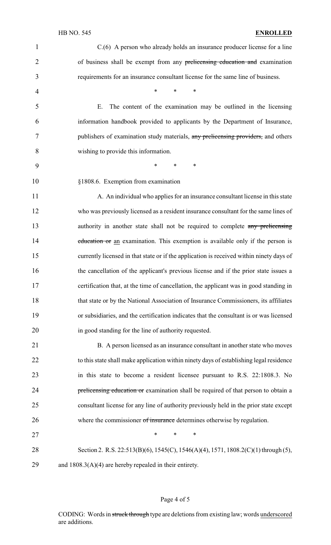### HB NO. 545 **ENROLLED**

| $\mathbf{1}$   | C.(6) A person who already holds an insurance producer license for a line                |
|----------------|------------------------------------------------------------------------------------------|
| $\overline{2}$ | of business shall be exempt from any prelicensing education and examination              |
| 3              | requirements for an insurance consultant license for the same line of business.          |
| $\overline{4}$ | $\ast$<br>$*$ $*$<br>$\ast$                                                              |
| 5              | The content of the examination may be outlined in the licensing<br>Ε.                    |
| 6              | information handbook provided to applicants by the Department of Insurance,              |
| 7              | publishers of examination study materials, any prelicensing providers, and others        |
| 8              | wishing to provide this information.                                                     |
| 9              | $\ast$<br>$\ast$<br>∗                                                                    |
| 10             | §1808.6. Exemption from examination                                                      |
| 11             | A. An individual who applies for an insurance consultant license in this state           |
| 12             | who was previously licensed as a resident insurance consultant for the same lines of     |
| 13             | authority in another state shall not be required to complete any prelicensing            |
| 14             | education or an examination. This exemption is available only if the person is           |
| 15             | currently licensed in that state or if the application is received within ninety days of |
| 16             | the cancellation of the applicant's previous license and if the prior state issues a     |
| 17             | certification that, at the time of cancellation, the applicant was in good standing in   |
| 18             | that state or by the National Association of Insurance Commissioners, its affiliates     |
| 19             | or subsidiaries, and the certification indicates that the consultant is or was licensed  |
| 20             | in good standing for the line of authority requested.                                    |
| 21             | B. A person licensed as an insurance consultant in another state who moves               |
| 22             | to this state shall make application within ninety days of establishing legal residence  |
| 23             | in this state to become a resident licensee pursuant to R.S. 22:1808.3. No               |
| 24             | prelicensing education or examination shall be required of that person to obtain a       |
| 25             | consultant license for any line of authority previously held in the prior state except   |
| 26             | where the commissioner of insurance determines otherwise by regulation.                  |
| 27             | $\ast$<br>$\ast$<br>*                                                                    |
| 28             | Section 2. R.S. 22:513(B)(6), 1545(C), 1546(A)(4), 1571, 1808.2(C)(1) through (5),       |
| 29             | and $1808.3(A)(4)$ are hereby repealed in their entirety.                                |

# Page 4 of 5

CODING: Words in struck through type are deletions from existing law; words underscored are additions.